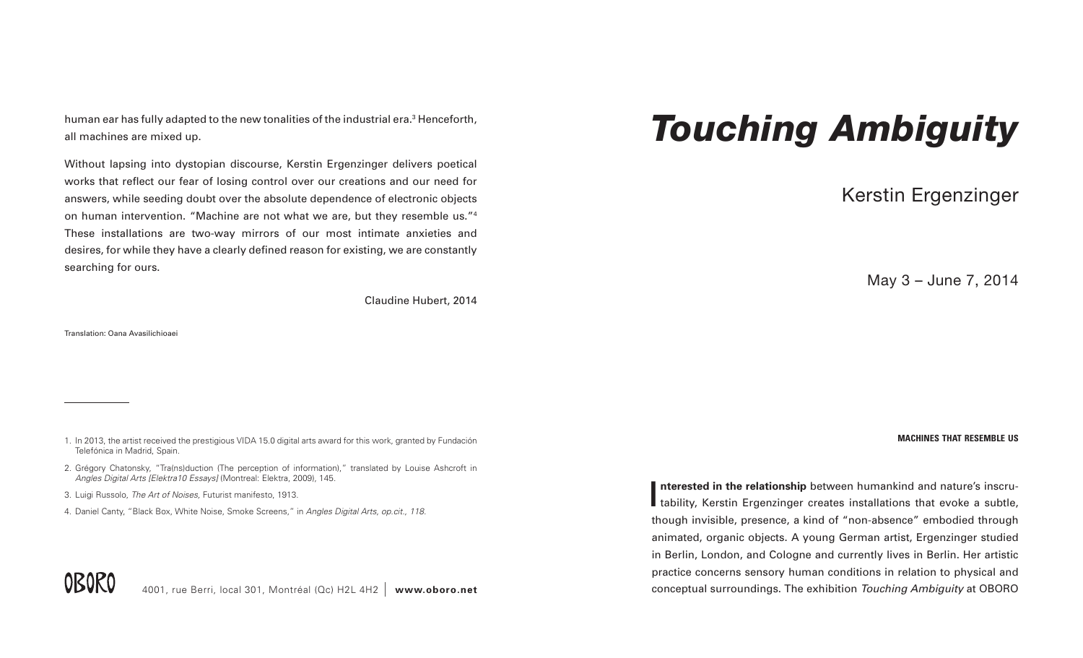human ear has fully adapted to the new tonalities of the industrial era.<sup>3</sup> Henceforth, all machines are mixed up.

Without lapsing into dystopian discourse, Kerstin Ergenzinger delivers poetical works that reflect our fear of losing control over our creations and our need for answers, while seeding doubt over the absolute dependence of electronic objects on human intervention. "Machine are not what we are, but they resemble us."4 These installations are two-way mirrors of our most intimate anxieties and desires, for while they have a clearly defined reason for existing, we are constantly searching for ours.

Claudine Hubert, 2014

Translation: Oana Avasilichioaei

- 2. Grégory Chatonsky, "Tra(ns)duction (The perception of information)," translated by Louise Ashcroft in *Angles Digital Arts [Elektra10 Essays]* (Montreal: Elektra, 2009), 145.
- 3. Luigi Russolo, *The Art of Noises,* Futurist manifesto, 1913.
- 4. Daniel Canty, "Black Box, White Noise, Smoke Screens," in *Angles Digital Arts, op.cit., 118.*

Interested in the relationship between humankind and nature's inscru-<br>tability, Kerstin Ergenzinger creates installations that evoke a subtle, **nterested in the relationship** between humankind and nature's inscruthough invisible, presence, a kind of "non-absence" embodied through animated, organic objects. A young German artist, Ergenzinger studied in Berlin, London, and Cologne and currently lives in Berlin. Her artistic practice concerns sensory human conditions in relation to physical and conceptual surroundings. The exhibition *Touching Ambiguity* at OBORO



## *Touching Ambiguity*

Kerstin Ergenzinger

May 3 – June 7, 2014

<sup>1.</sup> In 2013, the artist received the prestigious VIDA 15.0 digital arts award for this work, granted by Fundación **machines that resemble us** Telefónica in Madrid, Spain.